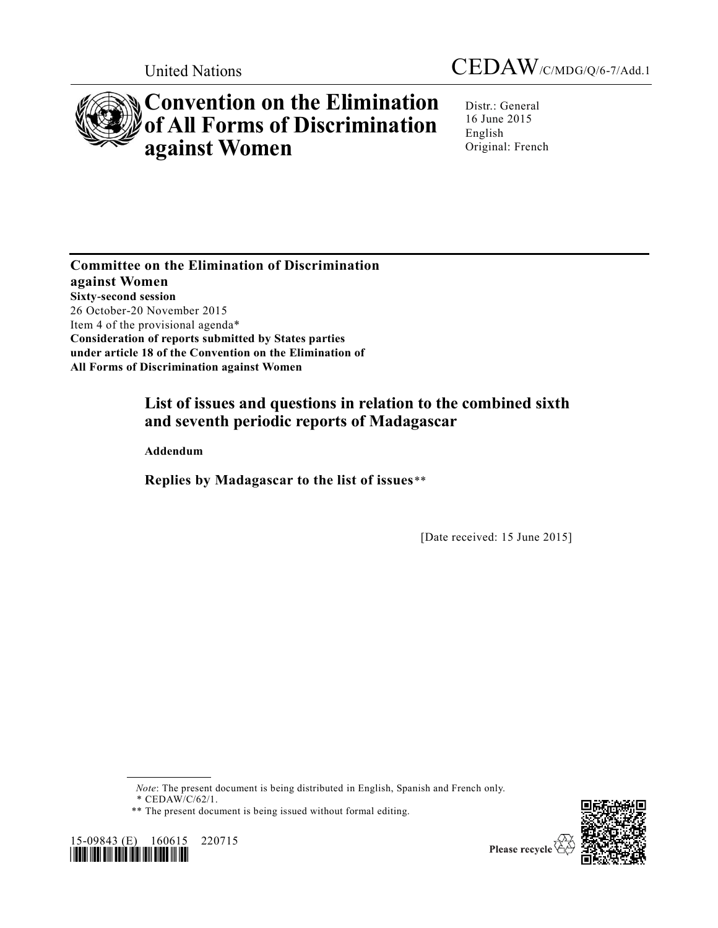

# **Convention on the Elimination of All Forms of Discrimination against Women**

Distr.: General 16 June 2015 English Original: French

**Committee on the Elimination of Discrimination against Women Sixty-second session** 26 October-20 November 2015 Item 4 of the provisional agenda\* **Consideration of reports submitted by States parties under article 18 of the Convention on the Elimination of All Forms of Discrimination against Women**

## **List of issues and questions in relation to the combined sixth and seventh periodic reports of Madagascar**

**Addendum**

**Replies by Madagascar to the list of issues**\*\*

[Date received: 15 June 2015]

*Note*: The present document is being distributed in English, Spanish and French only.

*\** CEDAW/C/62/1.





<sup>\*\*</sup> The present document is being issued without formal editing.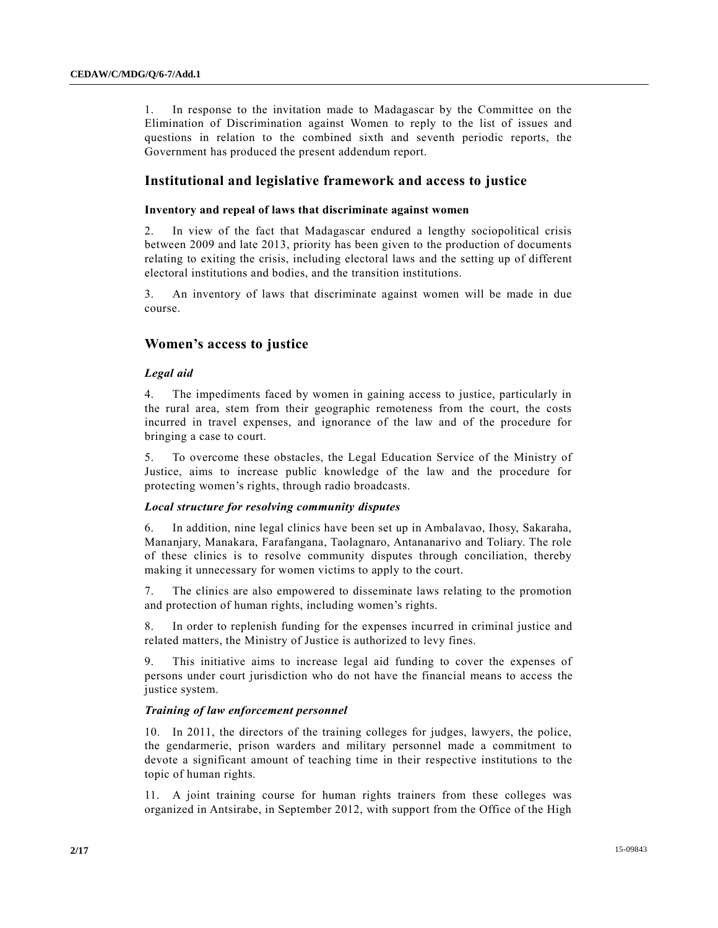1. In response to the invitation made to Madagascar by the Committee on the Elimination of Discrimination against Women to reply to the list of issues and questions in relation to the combined sixth and seventh periodic reports, the Government has produced the present addendum report.

## **Institutional and legislative framework and access to justice**

#### **Inventory and repeal of laws that discriminate against women**

2. In view of the fact that Madagascar endured a lengthy sociopolitical crisis between 2009 and late 2013, priority has been given to the production of documents relating to exiting the crisis, including electoral laws and the setting up of different electoral institutions and bodies, and the transition institutions.

3. An inventory of laws that discriminate against women will be made in due course.

## **Women's access to justice**

#### *Legal aid*

4. The impediments faced by women in gaining access to justice, particularly in the rural area, stem from their geographic remoteness from the court, the costs incurred in travel expenses, and ignorance of the law and of the procedure for bringing a case to court.

5. To overcome these obstacles, the Legal Education Service of the Ministry of Justice, aims to increase public knowledge of the law and the procedure for protecting women's rights, through radio broadcasts.

#### *Local structure for resolving community disputes*

6. In addition, nine legal clinics have been set up in Ambalavao, Ihosy, Sakaraha, Mananjary, Manakara, Farafangana, Taolagnaro, Antananarivo and Toliary. The role of these clinics is to resolve community disputes through conciliation, thereby making it unnecessary for women victims to apply to the court.

7. The clinics are also empowered to disseminate laws relating to the promotion and protection of human rights, including women's rights.

8. In order to replenish funding for the expenses incurred in criminal justice and related matters, the Ministry of Justice is authorized to levy fines.

9. This initiative aims to increase legal aid funding to cover the expenses of persons under court jurisdiction who do not have the financial means to access the justice system.

#### *Training of law enforcement personnel*

10. In 2011, the directors of the training colleges for judges, lawyers, the police, the gendarmerie, prison warders and military personnel made a commitment to devote a significant amount of teaching time in their respective institutions to the topic of human rights.

11. A joint training course for human rights trainers from these colleges was organized in Antsirabe, in September 2012, with support from the Office of the High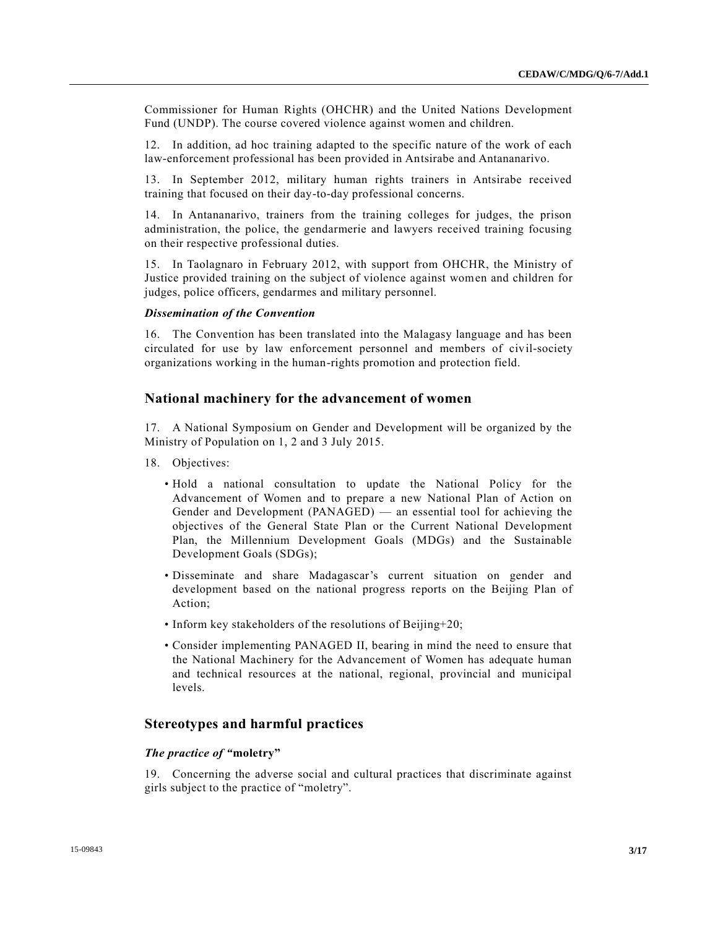Commissioner for Human Rights (OHCHR) and the United Nations Development Fund (UNDP). The course covered violence against women and children.

12. In addition, ad hoc training adapted to the specific nature of the work of each law-enforcement professional has been provided in Antsirabe and Antananarivo.

13. In September 2012, military human rights trainers in Antsirabe received training that focused on their day-to-day professional concerns.

14. In Antananarivo, trainers from the training colleges for judges, the prison administration, the police, the gendarmerie and lawyers received training focusing on their respective professional duties.

15. In Taolagnaro in February 2012, with support from OHCHR, the Ministry of Justice provided training on the subject of violence against women and children for judges, police officers, gendarmes and military personnel.

#### *Dissemination of the Convention*

16. The Convention has been translated into the Malagasy language and has been circulated for use by law enforcement personnel and members of civil-society organizations working in the human-rights promotion and protection field.

## **National machinery for the advancement of women**

17. A National Symposium on Gender and Development will be organized by the Ministry of Population on 1, 2 and 3 July 2015.

- 18. Objectives:
	- Hold a national consultation to update the National Policy for the Advancement of Women and to prepare a new National Plan of Action on Gender and Development (PANAGED) — an essential tool for achieving the objectives of the General State Plan or the Current National Development Plan, the Millennium Development Goals (MDGs) and the Sustainable Development Goals (SDGs);
	- Disseminate and share Madagascar's current situation on gender and development based on the national progress reports on the Beijing Plan of Action;
	- Inform key stakeholders of the resolutions of Beijing+20;
	- Consider implementing PANAGED II, bearing in mind the need to ensure that the National Machinery for the Advancement of Women has adequate human and technical resources at the national, regional, provincial and municipal levels.

## **Stereotypes and harmful practices**

#### *The practice of "***moletry"**

19. Concerning the adverse social and cultural practices that discriminate against girls subject to the practice of "moletry".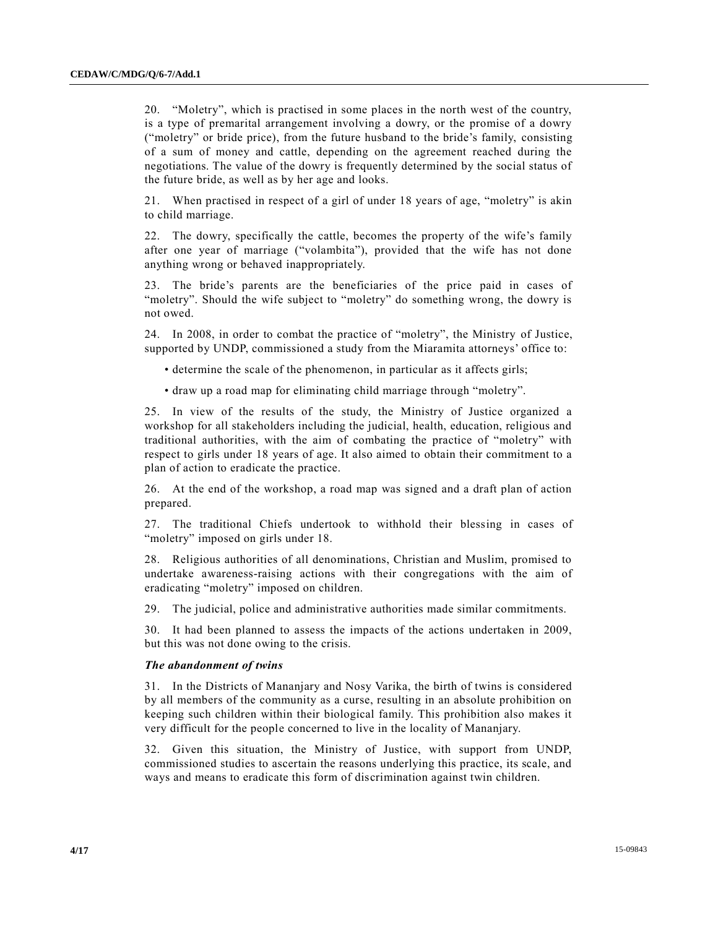20. "Moletry", which is practised in some places in the north west of the country, is a type of premarital arrangement involving a dowry, or the promise of a dowry ("moletry" or bride price), from the future husband to the bride's family, consisting of a sum of money and cattle, depending on the agreement reached during the negotiations. The value of the dowry is frequently determined by the social status of the future bride, as well as by her age and looks.

21. When practised in respect of a girl of under 18 years of age, "moletry" is akin to child marriage.

22. The dowry, specifically the cattle, becomes the property of the wife's family after one year of marriage ("volambita"), provided that the wife has not done anything wrong or behaved inappropriately.

23. The bride's parents are the beneficiaries of the price paid in cases of "moletry". Should the wife subject to "moletry" do something wrong, the dowry is not owed.

24. In 2008, in order to combat the practice of "moletry", the Ministry of Justice, supported by UNDP, commissioned a study from the Miaramita attorneys' office to:

- determine the scale of the phenomenon, in particular as it affects girls;
- draw up a road map for eliminating child marriage through "moletry".

25. In view of the results of the study, the Ministry of Justice organized a workshop for all stakeholders including the judicial, health, education, religious and traditional authorities, with the aim of combating the practice of "moletry" with respect to girls under 18 years of age. It also aimed to obtain their commitment to a plan of action to eradicate the practice.

26. At the end of the workshop, a road map was signed and a draft plan of action prepared.

27. The traditional Chiefs undertook to withhold their blessing in cases of "moletry" imposed on girls under 18.

28. Religious authorities of all denominations, Christian and Muslim, promised to undertake awareness-raising actions with their congregations with the aim of eradicating "moletry" imposed on children.

29. The judicial, police and administrative authorities made similar commitments.

30. It had been planned to assess the impacts of the actions undertaken in 2009, but this was not done owing to the crisis.

#### *The abandonment of twins*

31. In the Districts of Mananjary and Nosy Varika, the birth of twins is considered by all members of the community as a curse, resulting in an absolute prohibition on keeping such children within their biological family. This prohibition also makes it very difficult for the people concerned to live in the locality of Mananjary.

32. Given this situation, the Ministry of Justice, with support from UNDP, commissioned studies to ascertain the reasons underlying this practice, its scale, and ways and means to eradicate this form of discrimination against twin children.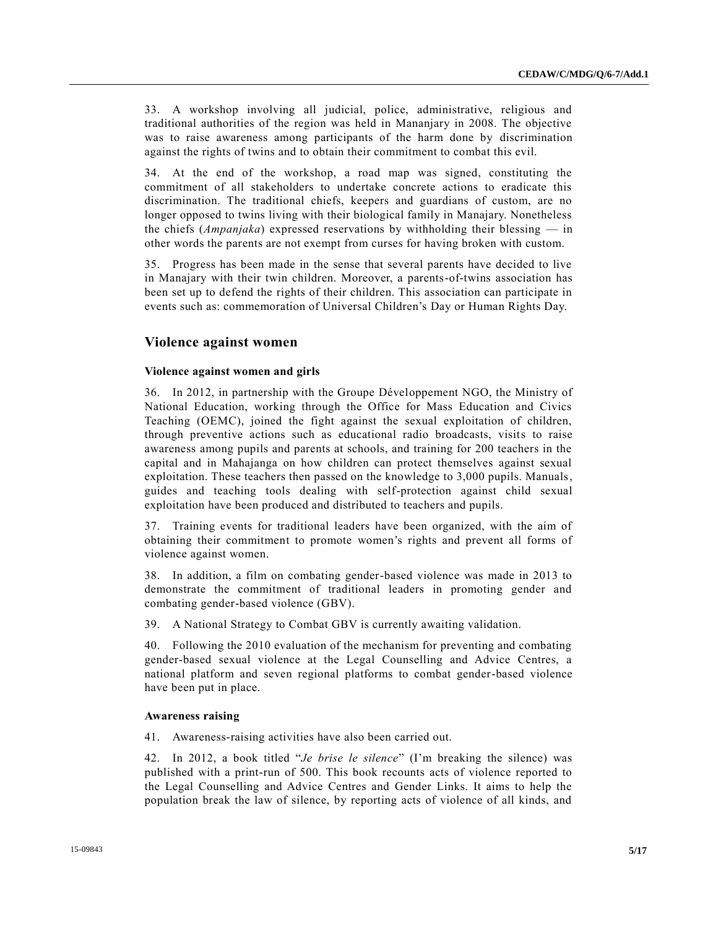33. A workshop involving all judicial, police, administrative, religious and traditional authorities of the region was held in Mananjary in 2008. The objective was to raise awareness among participants of the harm done by discrimination against the rights of twins and to obtain their commitment to combat this evil.

34. At the end of the workshop, a road map was signed, constituting the commitment of all stakeholders to undertake concrete actions to eradicate this discrimination. The traditional chiefs, keepers and guardians of custom, are no longer opposed to twins living with their biological family in Manajary. Nonetheless the chiefs (*Ampanjaka*) expressed reservations by withholding their blessing — in other words the parents are not exempt from curses for having broken with custom.

35. Progress has been made in the sense that several parents have decided to live in Manajary with their twin children. Moreover, a parents-of-twins association has been set up to defend the rights of their children. This association can participate in events such as: commemoration of Universal Children's Day or Human Rights Day.

## **Violence against women**

#### **Violence against women and girls**

36. In 2012, in partnership with the Groupe Développement NGO, the Ministry of National Education, working through the Office for Mass Education and Civics Teaching (OEMC), joined the fight against the sexual exploitation of children, through preventive actions such as educational radio broadcasts, visits to raise awareness among pupils and parents at schools, and training for 200 teachers in the capital and in Mahajanga on how children can protect themselves against sexual exploitation. These teachers then passed on the knowledge to 3,000 pupils. Manuals, guides and teaching tools dealing with self-protection against child sexual exploitation have been produced and distributed to teachers and pupils.

37. Training events for traditional leaders have been organized, with the aim of obtaining their commitment to promote women's rights and prevent all forms of violence against women.

38. In addition, a film on combating gender-based violence was made in 2013 to demonstrate the commitment of traditional leaders in promoting gender and combating gender-based violence (GBV).

39. A National Strategy to Combat GBV is currently awaiting validation.

40. Following the 2010 evaluation of the mechanism for preventing and combating gender-based sexual violence at the Legal Counselling and Advice Centres, a national platform and seven regional platforms to combat gender-based violence have been put in place.

#### **Awareness raising**

41. Awareness-raising activities have also been carried out.

42. In 2012, a book titled "*Je brise le silence*" (I'm breaking the silence) was published with a print-run of 500. This book recounts acts of violence reported to the Legal Counselling and Advice Centres and Gender Links. It aims to help the population break the law of silence, by reporting acts of violence of all kinds, and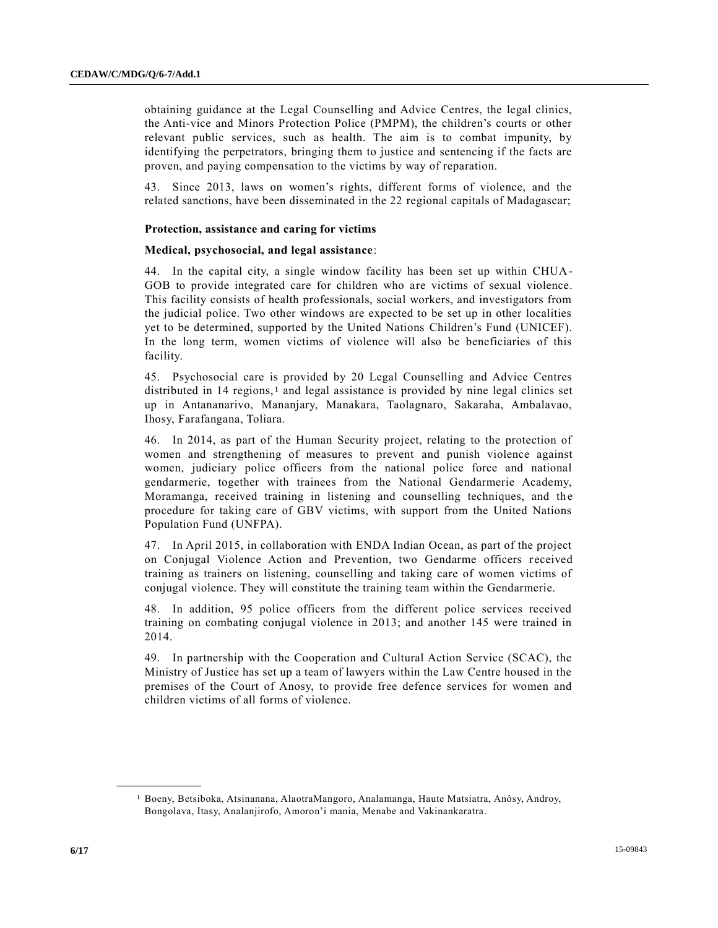obtaining guidance at the Legal Counselling and Advice Centres, the legal clinics, the Anti-vice and Minors Protection Police (PMPM), the children's courts or other relevant public services, such as health. The aim is to combat impunity, by identifying the perpetrators, bringing them to justice and sentencing if the facts are proven, and paying compensation to the victims by way of reparation.

43. Since 2013, laws on women's rights, different forms of violence, and the related sanctions, have been disseminated in the 22 regional capitals of Madagascar;

#### **Protection, assistance and caring for victims**

#### **Medical, psychosocial, and legal assistance**:

44. In the capital city, a single window facility has been set up within CHUA-GOB to provide integrated care for children who are victims of sexual violence. This facility consists of health professionals, social workers, and investigators from the judicial police. Two other windows are expected to be set up in other localities yet to be determined, supported by the United Nations Children's Fund (UNICEF). In the long term, women victims of violence will also be beneficiaries of this facility.

45. Psychosocial care is provided by 20 Legal Counselling and Advice Centres distributed in  $14$  regions,<sup>1</sup> and legal assistance is provided by nine legal clinics set up in Antananarivo, Mananjary, Manakara, Taolagnaro, Sakaraha, Ambalavao, Ihosy, Farafangana, Toliara.

46. In 2014, as part of the Human Security project, relating to the protection of women and strengthening of measures to prevent and punish violence against women, judiciary police officers from the national police force and national gendarmerie, together with trainees from the National Gendarmerie Academy, Moramanga, received training in listening and counselling techniques, and the procedure for taking care of GBV victims, with support from the United Nations Population Fund (UNFPA).

47. In April 2015, in collaboration with ENDA Indian Ocean, as part of the project on Conjugal Violence Action and Prevention, two Gendarme officers received training as trainers on listening, counselling and taking care of women victims of conjugal violence. They will constitute the training team within the Gendarmerie.

48. In addition, 95 police officers from the different police services received training on combating conjugal violence in 2013; and another 145 were trained in 2014.

49. In partnership with the Cooperation and Cultural Action Service (SCAC), the Ministry of Justice has set up a team of lawyers within the Law Centre housed in the premises of the Court of Anosy, to provide free defence services for women and children victims of all forms of violence.

**\_\_\_\_\_\_\_\_\_\_\_\_\_\_\_\_\_\_**

<sup>1</sup> Boeny, Betsiboka, Atsinanana, AlaotraMangoro, Analamanga, Haute Matsiatra, Anôsy, Androy, Bongolava, Itasy, Analanjirofo, Amoron'i mania, Menabe and Vakinankaratra.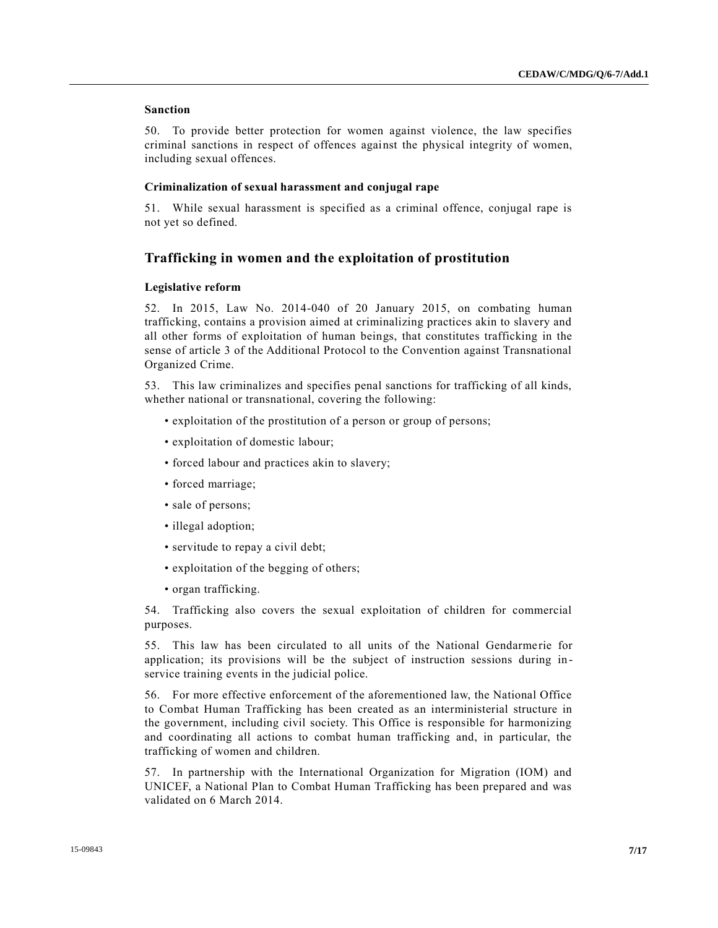## **Sanction**

50. To provide better protection for women against violence, the law specifies criminal sanctions in respect of offences against the physical integrity of women, including sexual offences.

### **Criminalization of sexual harassment and conjugal rape**

51. While sexual harassment is specified as a criminal offence, conjugal rape is not yet so defined.

## **Trafficking in women and the exploitation of prostitution**

#### **Legislative reform**

52. In 2015, Law No. 2014-040 of 20 January 2015, on combating human trafficking, contains a provision aimed at criminalizing practices akin to slavery and all other forms of exploitation of human beings, that constitutes trafficking in the sense of article 3 of the Additional Protocol to the Convention against Transnational Organized Crime.

53. This law criminalizes and specifies penal sanctions for trafficking of all kinds, whether national or transnational, covering the following:

- exploitation of the prostitution of a person or group of persons;
- exploitation of domestic labour;
- forced labour and practices akin to slavery;
- forced marriage;
- sale of persons;
- illegal adoption;
- servitude to repay a civil debt;
- exploitation of the begging of others;
- organ trafficking.

54. Trafficking also covers the sexual exploitation of children for commercial purposes.

55. This law has been circulated to all units of the National Gendarme rie for application; its provisions will be the subject of instruction sessions during in service training events in the judicial police.

56. For more effective enforcement of the aforementioned law, the National Office to Combat Human Trafficking has been created as an interministerial structure in the government, including civil society. This Office is responsible for harmonizing and coordinating all actions to combat human trafficking and, in particular, the trafficking of women and children.

57. In partnership with the International Organization for Migration (IOM) and UNICEF, a National Plan to Combat Human Trafficking has been prepared and was validated on 6 March 2014.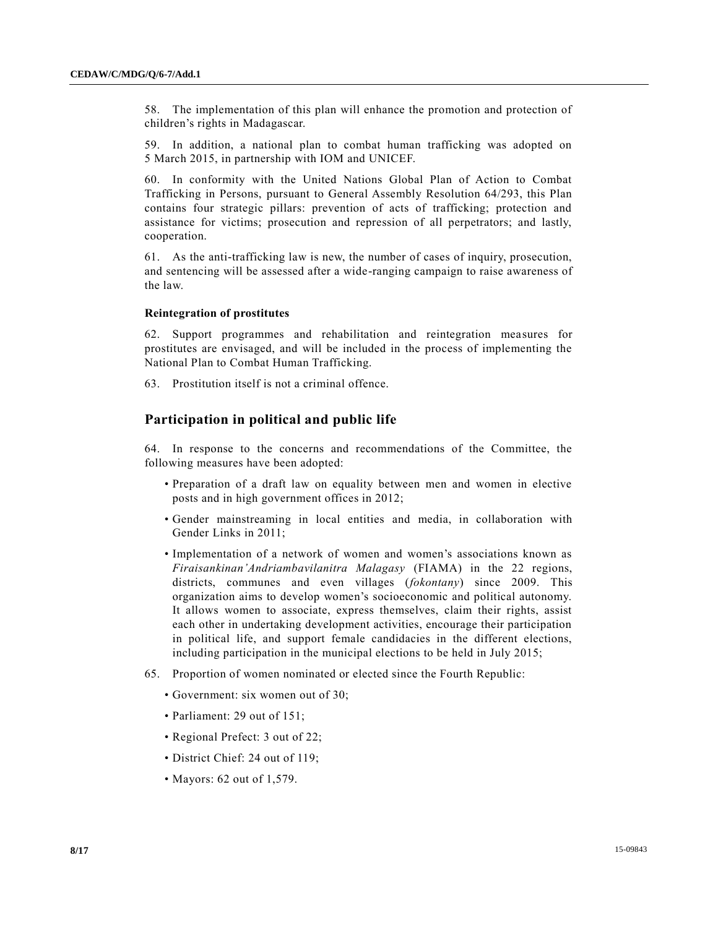58. The implementation of this plan will enhance the promotion and protection of children's rights in Madagascar.

59. In addition, a national plan to combat human trafficking was adopted on 5 March 2015, in partnership with IOM and UNICEF.

60. In conformity with the United Nations Global Plan of Action to Combat Trafficking in Persons, pursuant to General Assembly Resolution 64/293, this Plan contains four strategic pillars: prevention of acts of trafficking; protection and assistance for victims; prosecution and repression of all perpetrators; and lastly, cooperation.

61. As the anti-trafficking law is new, the number of cases of inquiry, prosecution, and sentencing will be assessed after a wide-ranging campaign to raise awareness of the law.

#### **Reintegration of prostitutes**

62. Support programmes and rehabilitation and reintegration measures for prostitutes are envisaged, and will be included in the process of implementing the National Plan to Combat Human Trafficking.

63. Prostitution itself is not a criminal offence.

## **Participation in political and public life**

64. In response to the concerns and recommendations of the Committee, the following measures have been adopted:

- Preparation of a draft law on equality between men and women in elective posts and in high government offices in 2012;
- Gender mainstreaming in local entities and media, in collaboration with Gender Links in 2011;
- Implementation of a network of women and women's associations known as *Firaisankinan'Andriambavilanitra Malagasy* (FIAMA) in the 22 regions, districts, communes and even villages (*fokontany*) since 2009. This organization aims to develop women's socioeconomic and political autonomy. It allows women to associate, express themselves, claim their rights, assist each other in undertaking development activities, encourage their participation in political life, and support female candidacies in the different elections, including participation in the municipal elections to be held in July 2015;
- 65. Proportion of women nominated or elected since the Fourth Republic:
	- Government: six women out of 30;
	- Parliament: 29 out of 151;
	- Regional Prefect: 3 out of 22;
	- District Chief: 24 out of 119;
	- Mayors: 62 out of 1,579.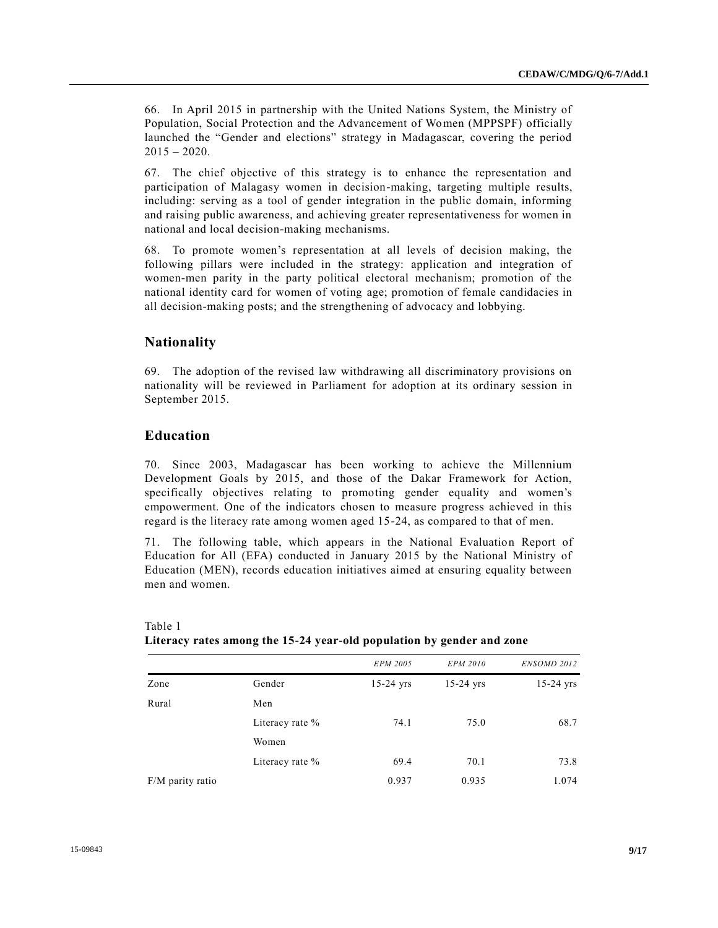66. In April 2015 in partnership with the United Nations System, the Ministry of Population, Social Protection and the Advancement of Women (MPPSPF) officially launched the "Gender and elections" strategy in Madagascar, covering the period  $2015 - 2020$ .

67. The chief objective of this strategy is to enhance the representation and participation of Malagasy women in decision-making, targeting multiple results, including: serving as a tool of gender integration in the public domain, informing and raising public awareness, and achieving greater representativeness for women in national and local decision-making mechanisms.

68. To promote women's representation at all levels of decision making, the following pillars were included in the strategy: application and integration of women-men parity in the party political electoral mechanism; promotion of the national identity card for women of voting age; promotion of female candidacies in all decision-making posts; and the strengthening of advocacy and lobbying.

## **Nationality**

69. The adoption of the revised law withdrawing all discriminatory provisions on nationality will be reviewed in Parliament for adoption at its ordinary session in September 2015.

## **Education**

70. Since 2003, Madagascar has been working to achieve the Millennium Development Goals by 2015, and those of the Dakar Framework for Action, specifically objectives relating to promoting gender equality and women's empowerment. One of the indicators chosen to measure progress achieved in this regard is the literacy rate among women aged 15-24, as compared to that of men.

71. The following table, which appears in the National Evaluation Report of Education for All (EFA) conducted in January 2015 by the National Ministry of Education (MEN), records education initiatives aimed at ensuring equality between men and women.

| .                |                 |                 |                 |             |
|------------------|-----------------|-----------------|-----------------|-------------|
|                  |                 | <b>EPM 2005</b> | <b>EPM 2010</b> | ENSOMD 2012 |
| Zone             | Gender          | $15-24$ yrs     | $15-24$ yrs     | $15-24$ yrs |
| Rural            | Men             |                 |                 |             |
|                  | Literacy rate % | 74.1            | 75.0            | 68.7        |
|                  | Women           |                 |                 |             |
|                  | Literacy rate % | 69.4            | 70.1            | 73.8        |
| F/M parity ratio |                 | 0.937           | 0.935           | 1.074       |

Table 1 **Literacy rates among the 15-24 year-old population by gender and zone**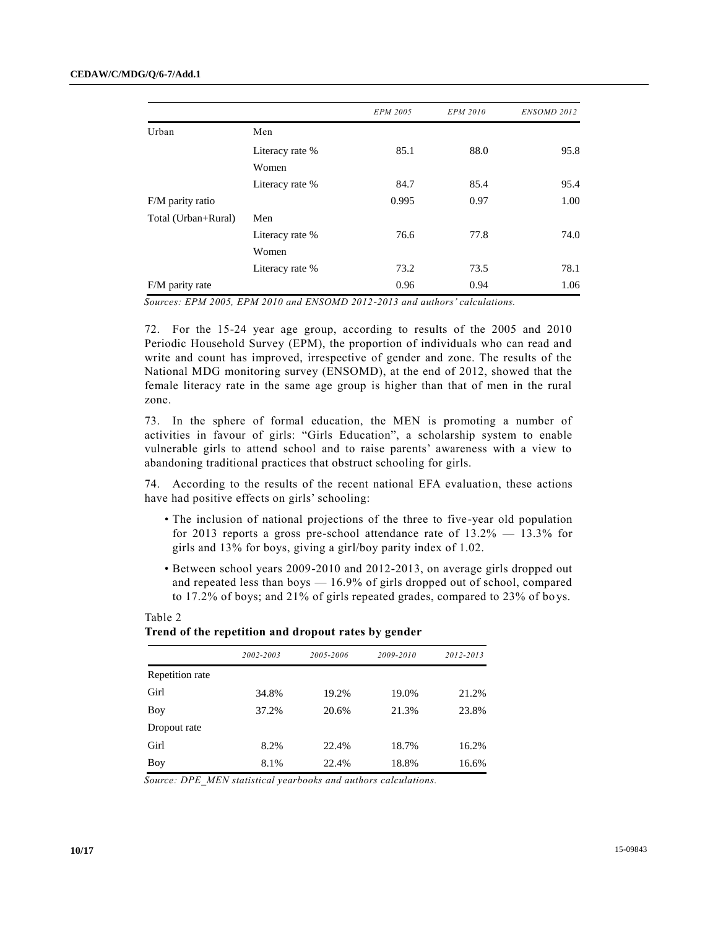|                     |                 | <b>EPM 2005</b> | <b>EPM 2010</b> | ENSOMD 2012 |
|---------------------|-----------------|-----------------|-----------------|-------------|
| Urban               | Men             |                 |                 |             |
|                     | Literacy rate % | 85.1            | 88.0            | 95.8        |
|                     | Women           |                 |                 |             |
|                     | Literacy rate % | 84.7            | 85.4            | 95.4        |
| F/M parity ratio    |                 | 0.995           | 0.97            | 1.00        |
| Total (Urban+Rural) | Men             |                 |                 |             |
|                     | Literacy rate % | 76.6            | 77.8            | 74.0        |
|                     | Women           |                 |                 |             |
|                     | Literacy rate % | 73.2            | 73.5            | 78.1        |
| F/M parity rate     |                 | 0.96            | 0.94            | 1.06        |

*Sources: EPM 2005, EPM 2010 and ENSOMD 2012-2013 and authors' calculations.*

72. For the 15-24 year age group, according to results of the 2005 and 2010 Periodic Household Survey (EPM), the proportion of individuals who can read and write and count has improved, irrespective of gender and zone. The results of the National MDG monitoring survey (ENSOMD), at the end of 2012, showed that the female literacy rate in the same age group is higher than that of men in the rural zone.

73. In the sphere of formal education, the MEN is promoting a number of activities in favour of girls: "Girls Education", a scholarship system to enable vulnerable girls to attend school and to raise parents' awareness with a view to abandoning traditional practices that obstruct schooling for girls.

74. According to the results of the recent national EFA evaluation, these actions have had positive effects on girls' schooling:

- The inclusion of national projections of the three to five-year old population for 2013 reports a gross pre-school attendance rate of  $13.2\% - 13.3\%$  for girls and 13% for boys, giving a girl/boy parity index of 1.02.
- Between school years 2009-2010 and 2012-2013, on average girls dropped out and repeated less than boys — 16.9% of girls dropped out of school, compared to  $17.2\%$  of boys; and  $21\%$  of girls repeated grades, compared to  $23\%$  of boys.

|                 | 2002-2003 | 2005-2006 | 2009-2010 | 2012-2013 |
|-----------------|-----------|-----------|-----------|-----------|
| Repetition rate |           |           |           |           |
| Girl            | 34.8%     | 19.2%     | 19.0%     | 21.2%     |
| Boy             | 37.2%     | 20.6%     | 21.3%     | 23.8%     |
| Dropout rate    |           |           |           |           |
| Girl            | 8.2%      | 22.4%     | 18.7%     | 16.2%     |
| Boy             | 8.1%      | 22.4%     | 18.8%     | 16.6%     |

#### Table 2 **Trend of the repetition and dropout rates by gender**

*Source: DPE\_MEN statistical yearbooks and authors calculations.*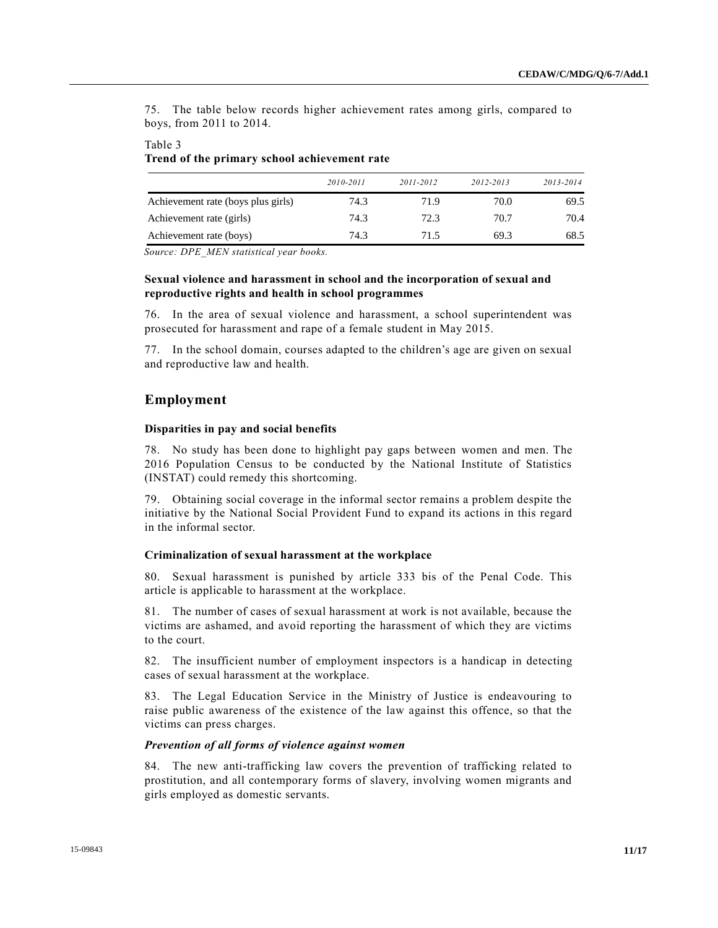75. The table below records higher achievement rates among girls, compared to boys, from 2011 to 2014.

#### Table 3 **Trend of the primary school achievement rate**

|                                    | 2010-2011 | 2011-2012 | 2012-2013 | 2013-2014 |
|------------------------------------|-----------|-----------|-----------|-----------|
| Achievement rate (boys plus girls) | 74.3      | 71.9      | 70.0      | 69.5      |
| Achievement rate (girls)           | 74.3      | 72.3      | 70.7      | 70.4      |
| Achievement rate (boys)            | 74.3      | 71.5      | 69.3      | 68.5      |

*Source: DPE\_MEN statistical year books.*

### **Sexual violence and harassment in school and the incorporation of sexual and reproductive rights and health in school programmes**

76. In the area of sexual violence and harassment, a school superintendent was prosecuted for harassment and rape of a female student in May 2015.

77. In the school domain, courses adapted to the children's age are given on sexual and reproductive law and health.

## **Employment**

#### **Disparities in pay and social benefits**

78. No study has been done to highlight pay gaps between women and men. The 2016 Population Census to be conducted by the National Institute of Statistics (INSTAT) could remedy this shortcoming.

79. Obtaining social coverage in the informal sector remains a problem despite the initiative by the National Social Provident Fund to expand its actions in this regard in the informal sector.

#### **Criminalization of sexual harassment at the workplace**

80. Sexual harassment is punished by article 333 bis of the Penal Code. This article is applicable to harassment at the workplace.

81. The number of cases of sexual harassment at work is not available, because the victims are ashamed, and avoid reporting the harassment of which they are victims to the court.

82. The insufficient number of employment inspectors is a handicap in detecting cases of sexual harassment at the workplace.

83. The Legal Education Service in the Ministry of Justice is endeavouring to raise public awareness of the existence of the law against this offence, so that the victims can press charges.

#### *Prevention of all forms of violence against women*

84. The new anti-trafficking law covers the prevention of trafficking related to prostitution, and all contemporary forms of slavery, involving women migrants and girls employed as domestic servants.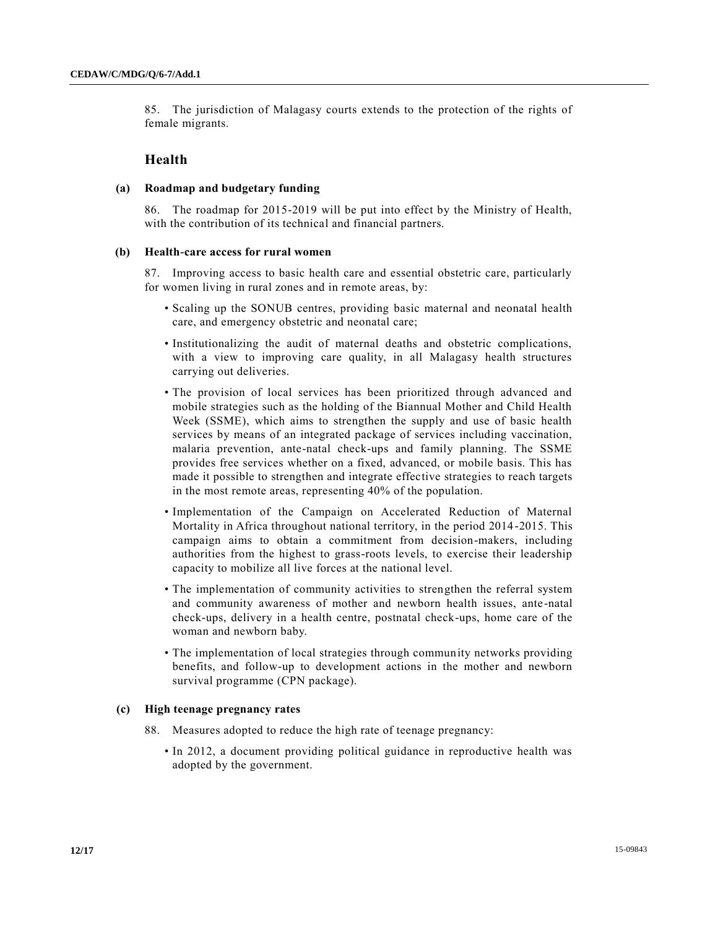85. The jurisdiction of Malagasy courts extends to the protection of the rights of female migrants.

## **Health**

#### **(a) Roadmap and budgetary funding**

86. The roadmap for 2015-2019 will be put into effect by the Ministry of Health, with the contribution of its technical and financial partners.

#### **(b) Health-care access for rural women**

87. Improving access to basic health care and essential obstetric care, particularly for women living in rural zones and in remote areas, by:

- Scaling up the SONUB centres, providing basic maternal and neonatal health care, and emergency obstetric and neonatal care;
- Institutionalizing the audit of maternal deaths and obstetric complications, with a view to improving care quality, in all Malagasy health structures carrying out deliveries.
- The provision of local services has been prioritized through advanced and mobile strategies such as the holding of the Biannual Mother and Child Health Week (SSME), which aims to strengthen the supply and use of basic health services by means of an integrated package of services including vaccination, malaria prevention, ante-natal check-ups and family planning. The SSME provides free services whether on a fixed, advanced, or mobile basis. This has made it possible to strengthen and integrate effective strategies to reach targets in the most remote areas, representing 40% of the population.
- Implementation of the Campaign on Accelerated Reduction of Maternal Mortality in Africa throughout national territory, in the period 2014 -2015. This campaign aims to obtain a commitment from decision-makers, including authorities from the highest to grass-roots levels, to exercise their leadership capacity to mobilize all live forces at the national level.
- The implementation of community activities to strengthen the referral system and community awareness of mother and newborn health issues, ante -natal check-ups, delivery in a health centre, postnatal check-ups, home care of the woman and newborn baby.
- The implementation of local strategies through community networks providing benefits, and follow-up to development actions in the mother and newborn survival programme (CPN package).

#### **(c) High teenage pregnancy rates**

- 88. Measures adopted to reduce the high rate of teenage pregnancy:
	- In 2012, a document providing political guidance in reproductive health was adopted by the government.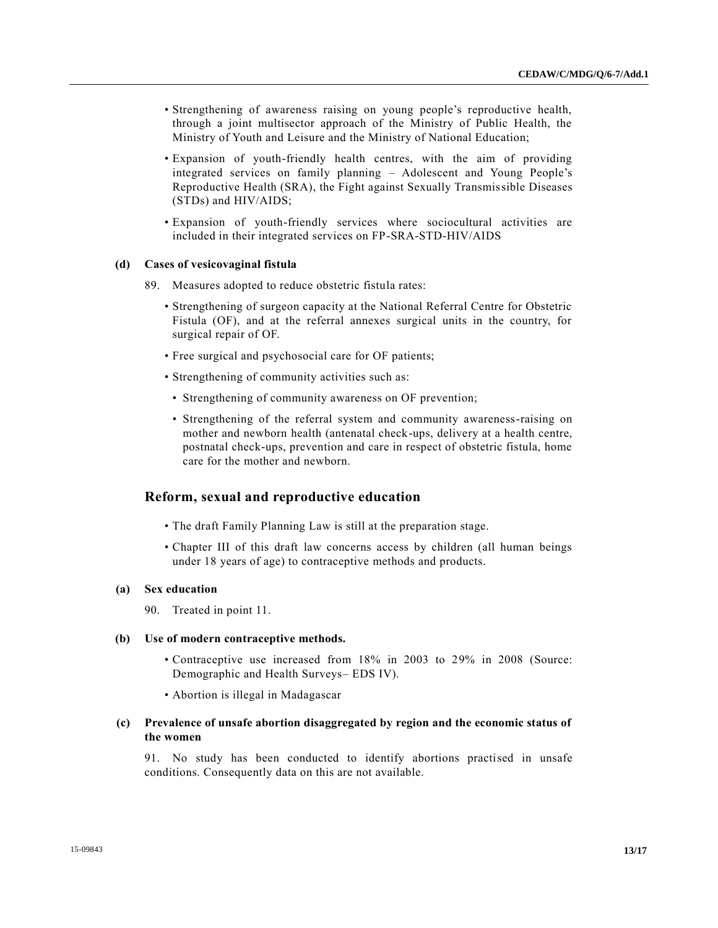- Strengthening of awareness raising on young people's reproductive health, through a joint multisector approach of the Ministry of Public Health, the Ministry of Youth and Leisure and the Ministry of National Education;
- Expansion of youth-friendly health centres, with the aim of providing integrated services on family planning – Adolescent and Young People's Reproductive Health (SRA), the Fight against Sexually Transmissible Diseases (STDs) and HIV/AIDS;
- Expansion of youth-friendly services where sociocultural activities are included in their integrated services on FP-SRA-STD-HIV/AIDS

#### **(d) Cases of vesicovaginal fistula**

- 89. Measures adopted to reduce obstetric fistula rates:
	- Strengthening of surgeon capacity at the National Referral Centre for Obstetric Fistula (OF), and at the referral annexes surgical units in the country, for surgical repair of OF.
	- Free surgical and psychosocial care for OF patients;
	- Strengthening of community activities such as:
		- Strengthening of community awareness on OF prevention;
		- Strengthening of the referral system and community awareness-raising on mother and newborn health (antenatal check-ups, delivery at a health centre, postnatal check-ups, prevention and care in respect of obstetric fistula, home care for the mother and newborn.

#### **Reform, sexual and reproductive education**

- The draft Family Planning Law is still at the preparation stage.
- Chapter III of this draft law concerns access by children (all human beings under 18 years of age) to contraceptive methods and products.

#### **(a) Sex education**

90. Treated in point 11.

#### **(b) Use of modern contraceptive methods.**

- Contraceptive use increased from 18% in 2003 to 29% in 2008 (Source: Demographic and Health Surveys– EDS IV).
- Abortion is illegal in Madagascar

## **(c) Prevalence of unsafe abortion disaggregated by region and the economic status of the women**

91. No study has been conducted to identify abortions practised in unsafe conditions. Consequently data on this are not available.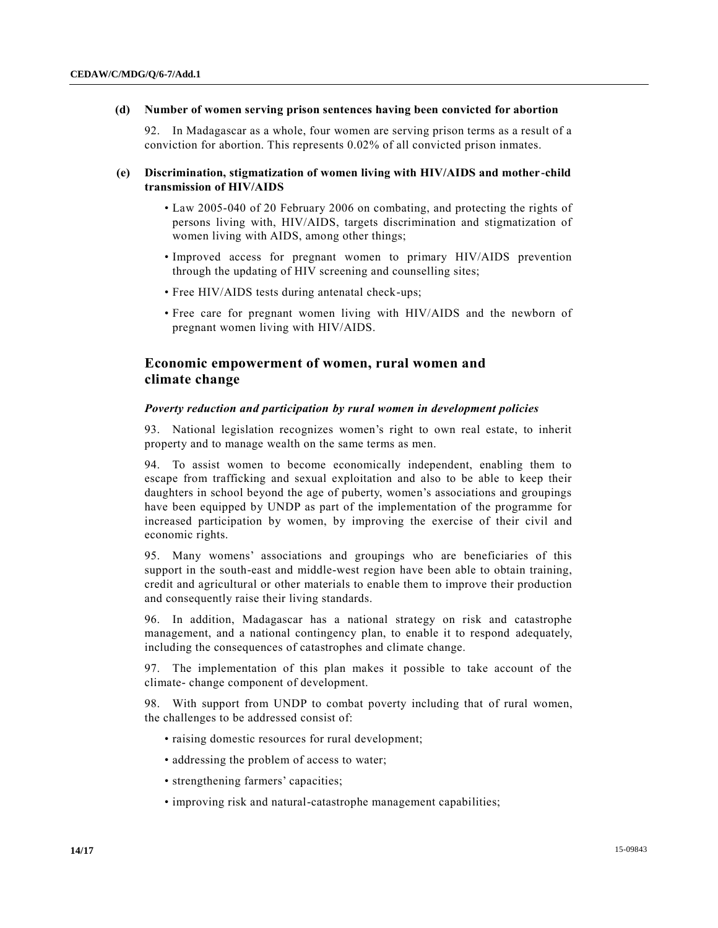#### **(d) Number of women serving prison sentences having been convicted for abortion**

92. In Madagascar as a whole, four women are serving prison terms as a result of a conviction for abortion. This represents 0.02% of all convicted prison inmates.

#### **(e) Discrimination, stigmatization of women living with HIV/AIDS and mother-child transmission of HIV/AIDS**

- Law 2005-040 of 20 February 2006 on combating, and protecting the rights of persons living with, HIV/AIDS, targets discrimination and stigmatization of women living with AIDS, among other things;
- Improved access for pregnant women to primary HIV/AIDS prevention through the updating of HIV screening and counselling sites;
- Free HIV/AIDS tests during antenatal check-ups;
- Free care for pregnant women living with HIV/AIDS and the newborn of pregnant women living with HIV/AIDS.

## **Economic empowerment of women, rural women and climate change**

#### *Poverty reduction and participation by rural women in development policies*

93. National legislation recognizes women's right to own real estate, to inherit property and to manage wealth on the same terms as men.

94. To assist women to become economically independent, enabling them to escape from trafficking and sexual exploitation and also to be able to keep their daughters in school beyond the age of puberty, women's associations and groupings have been equipped by UNDP as part of the implementation of the programme for increased participation by women, by improving the exercise of their civil and economic rights.

95. Many womens' associations and groupings who are beneficiaries of this support in the south-east and middle-west region have been able to obtain training, credit and agricultural or other materials to enable them to improve their production and consequently raise their living standards.

96. In addition, Madagascar has a national strategy on risk and catastrophe management, and a national contingency plan, to enable it to respond adequately, including the consequences of catastrophes and climate change.

97. The implementation of this plan makes it possible to take account of the climate- change component of development.

98. With support from UNDP to combat poverty including that of rural women, the challenges to be addressed consist of:

- raising domestic resources for rural development;
- addressing the problem of access to water;
- strengthening farmers' capacities;
- improving risk and natural-catastrophe management capabilities;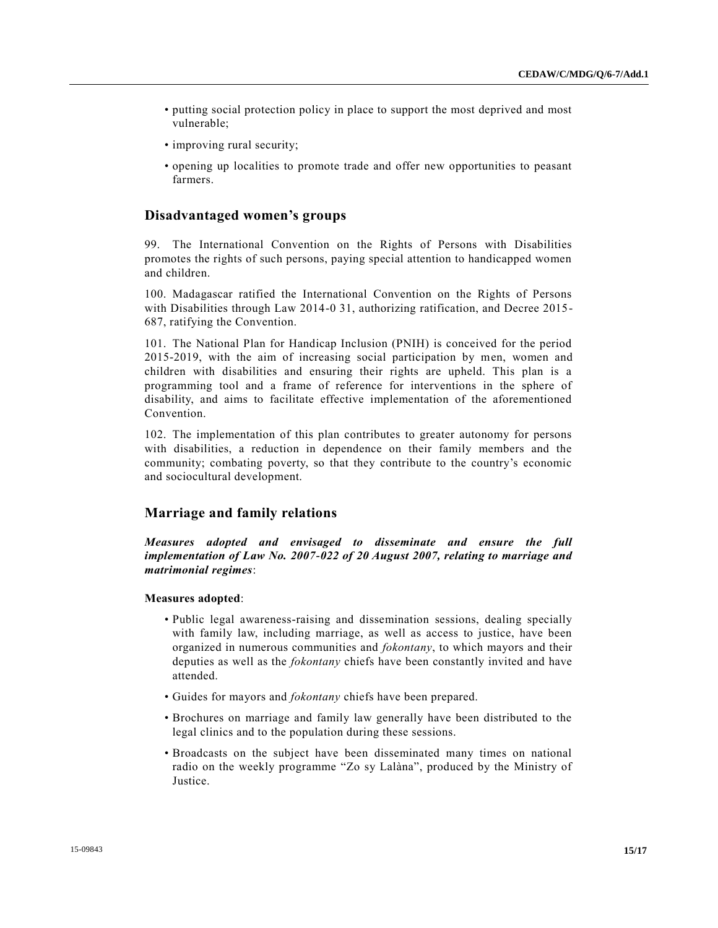- putting social protection policy in place to support the most deprived and most vulnerable;
- improving rural security;
- opening up localities to promote trade and offer new opportunities to peasant farmers.

## **Disadvantaged women's groups**

99. The International Convention on the Rights of Persons with Disabilities promotes the rights of such persons, paying special attention to handicapped women and children.

100. Madagascar ratified the International Convention on the Rights of Persons with Disabilities through Law 2014-0 31, authorizing ratification, and Decree 2015- 687, ratifying the Convention.

101. The National Plan for Handicap Inclusion (PNIH) is conceived for the period 2015-2019, with the aim of increasing social participation by men, women and children with disabilities and ensuring their rights are upheld. This plan is a programming tool and a frame of reference for interventions in the sphere of disability, and aims to facilitate effective implementation of the aforementioned Convention.

102. The implementation of this plan contributes to greater autonomy for persons with disabilities, a reduction in dependence on their family members and the community; combating poverty, so that they contribute to the country's economic and sociocultural development.

#### **Marriage and family relations**

*Measures adopted and envisaged to disseminate and ensure the full implementation of Law No. 2007-022 of 20 August 2007, relating to marriage and matrimonial regimes*:

#### **Measures adopted**:

- Public legal awareness-raising and dissemination sessions, dealing specially with family law, including marriage, as well as access to justice, have been organized in numerous communities and *fokontany*, to which mayors and their deputies as well as the *fokontany* chiefs have been constantly invited and have attended.
- Guides for mayors and *fokontany* chiefs have been prepared.
- Brochures on marriage and family law generally have been distributed to the legal clinics and to the population during these sessions.
- Broadcasts on the subject have been disseminated many times on national radio on the weekly programme "Zo sy Lalàna", produced by the Ministry of Justice.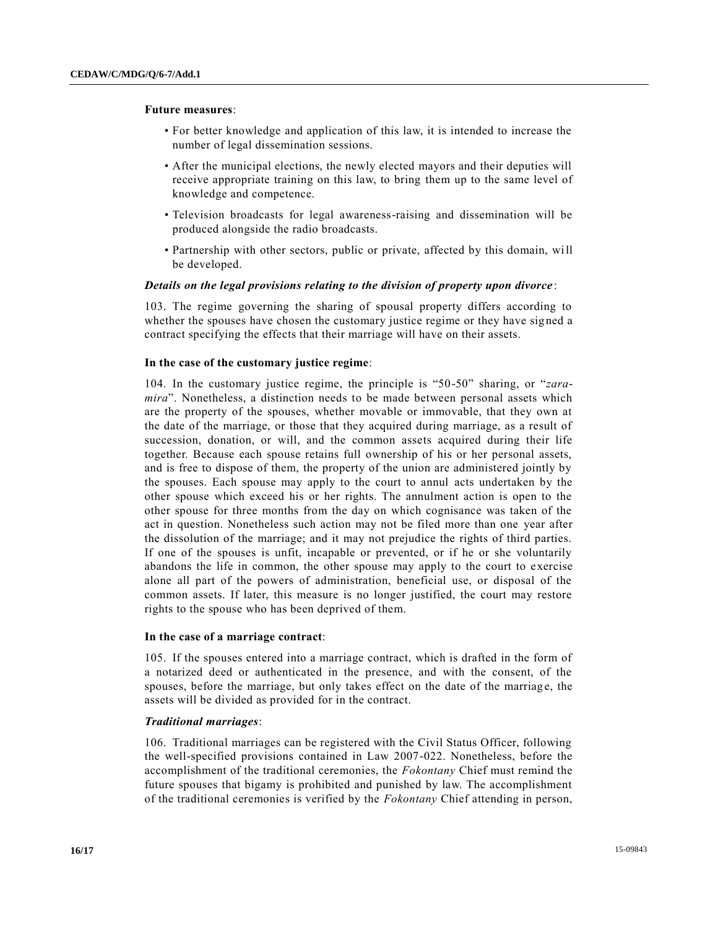#### **Future measures**:

- For better knowledge and application of this law, it is intended to increase the number of legal dissemination sessions.
- After the municipal elections, the newly elected mayors and their deputies will receive appropriate training on this law, to bring them up to the same level of knowledge and competence.
- Television broadcasts for legal awareness-raising and dissemination will be produced alongside the radio broadcasts.
- Partnership with other sectors, public or private, affected by this domain, will be developed.

#### *Details on the legal provisions relating to the division of property upon divorce* :

103. The regime governing the sharing of spousal property differs according to whether the spouses have chosen the customary justice regime or they have signed a contract specifying the effects that their marriage will have on their assets.

## **In the case of the customary justice regime**:

104. In the customary justice regime, the principle is "50-50" sharing, or "*zaramira*". Nonetheless, a distinction needs to be made between personal assets which are the property of the spouses, whether movable or immovable, that they own at the date of the marriage, or those that they acquired during marriage, as a result of succession, donation, or will, and the common assets acquired during their life together. Because each spouse retains full ownership of his or her personal assets, and is free to dispose of them, the property of the union are administered jointly by the spouses. Each spouse may apply to the court to annul acts undertaken by the other spouse which exceed his or her rights. The annulment action is open to the other spouse for three months from the day on which cognisance was taken of the act in question. Nonetheless such action may not be filed more than one year after the dissolution of the marriage; and it may not prejudice the rights of third parties. If one of the spouses is unfit, incapable or prevented, or if he or she voluntarily abandons the life in common, the other spouse may apply to the court to exercise alone all part of the powers of administration, beneficial use, or disposal of the common assets. If later, this measure is no longer justified, the court may restore rights to the spouse who has been deprived of them.

#### **In the case of a marriage contract**:

105. If the spouses entered into a marriage contract, which is drafted in the form of a notarized deed or authenticated in the presence, and with the consent, of the spouses, before the marriage, but only takes effect on the date of the marriage, the assets will be divided as provided for in the contract.

## *Traditional marriages*:

106. Traditional marriages can be registered with the Civil Status Officer, following the well-specified provisions contained in Law 2007-022. Nonetheless, before the accomplishment of the traditional ceremonies, the *Fokontany* Chief must remind the future spouses that bigamy is prohibited and punished by law. The accomplishment of the traditional ceremonies is verified by the *Fokontany* Chief attending in person,